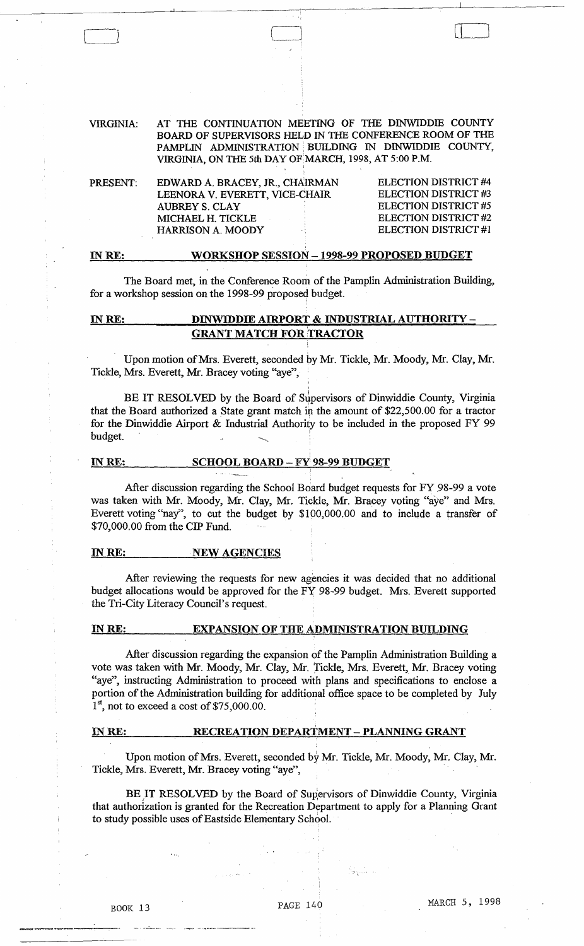#### VIRGINIA: AT THE CONTINUATION MEETING OF THE DINWIDDIE COUNTY BOARD OF SUPERVISORS HELD IN THE CONFERENCE ROOM OF THE PAMPLIN ADMINISTRATION BUILDING IN DINWIDDIE COUNTY, VIRGINIA, ON THE 5th DAY OF MARCH, 1998, AT 5:00 P.M.

| PRESENT: | EDWARD A. BRACEY, JR., CHAIRMAN | ELECTION DISTRICT #4        |
|----------|---------------------------------|-----------------------------|
|          | LEENORA V. EVERETT, VICE-CHAIR  | ELECTION DISTRICT #3        |
|          | AUBREY S. CLAY                  | <b>ELECTION DISTRICT #5</b> |
|          | MICHAEL H. TICKLE               | ELECTION DISTRICT #2        |
|          | <b>HARRISON A. MOODY</b>        | <b>ELECTION DISTRICT #1</b> |
|          |                                 |                             |

#### IN RE: WORKSHOP SESSION - 1998-99 PROPOSED BUDGET

The Board met, in the Conference Room of the Pamplin Administration Building, for a workshop session on the 1998-99 proposeq budget.

# INRE: DINWIDDIE AIRPORT & INDUSTRIAL AUTHORITY - **GRANT MATCH FOR TRACTOR**

Upon motion of Mrs. Everett, seconded by Mr. Tickle, Mr. Moody, Mr. Clay, Mr. Tickle, Mrs. Everett, Mr. Bracey voting "aye", ,

BE IT RESOLVED by the Board of Supervisors of Dinwiddie County, Virginia that the Board authorized a State grant match in the amount of  $$22,500.00$  for a tractor for the Dinwiddie Airport & Industrial Authority to be included in the proposed FY 99 budget.

# IN RE: SCHOOL BOARD - FY 98-99 BUDGET

After discussion regarding the School Board budget requests for FY 98-99 a vote was taken with Mr. Moody, Mr. Clay, Mr. Tickle, Mr. Bracey voting "aye" and Mrs. Everett voting "nay", to cut the budget by \$100,000.00 and to include a transfer of \$70,000.00 from the CIP Fund.

#### INRE: NEW AGENCIES

After reviewing the requests for new agencies it was decided that no additional budget allocations would be approved for the FY 98-99 budget. Mrs. Everett supported the Tri-City Literacy Council's request.

### INRE: EXPANSION OF THE ADMINISTRATION BUILDING

After discussion regarding the expansion of the Pamplin Administration Building a vote was taken with Mr. Moody, Mr. Clay, Mr. Tickle, Mrs. Everett, Mr. Bracey voting "aye", instructing Administration to proceed with plans and specifications to enclose a portion of the Administration building for additional office space to be completed by July  $1<sup>st</sup>$ , not to exceed a cost of \$75,000.00.

#### IN RE: RECREATION DEPARTMENT - PLANNING GRANT

Upon motion of Mrs. Everett, seconded by Mr. Tickle, Mr. Moody, Mr. Clay, Mr. Tickle, Mrs. Everett, Mr. Bracey voting "aye",

BE IT RESOLVED by the Board of Supervisors of Dinwiddie County, Virginia that authorization is granted for the Recreation Department to apply for a Planning Grant to study possible uses of Eastside Elementary School. .

"'.